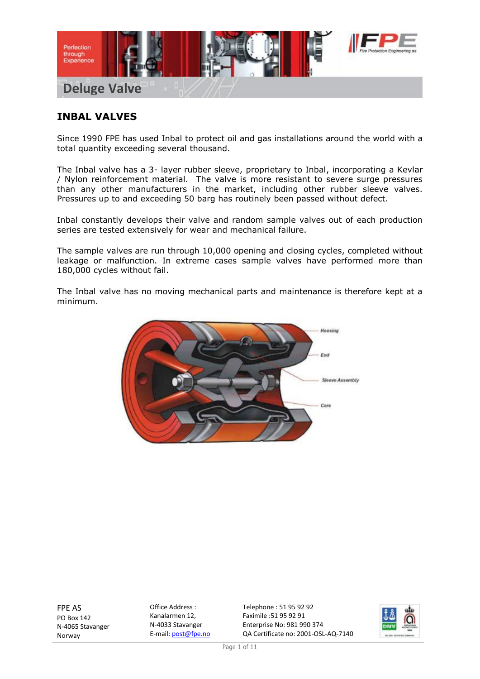

## **INBAL VALVES**

Since 1990 FPE has used Inbal to protect oil and gas installations around the world with a total quantity exceeding several thousand.

The Inbal valve has a 3- layer rubber sleeve, proprietary to Inbal, incorporating a Kevlar / Nylon reinforcement material. The valve is more resistant to severe surge pressures than any other manufacturers in the market, including other rubber sleeve valves. Pressures up to and exceeding 50 barg has routinely been passed without defect.

Inbal constantly develops their valve and random sample valves out of each production series are tested extensively for wear and mechanical failure.

The sample valves are run through 10,000 opening and closing cycles, completed without leakage or malfunction. In extreme cases sample valves have performed more than 180,000 cycles without fail.

The Inbal valve has no moving mechanical parts and maintenance is therefore kept at a minimum.



FPE AS PO Box 142 N-4065 Stavanger Norway

Office Address : Kanalarmen 12, N-4033 Stavanger E-mail: post@fpe.no

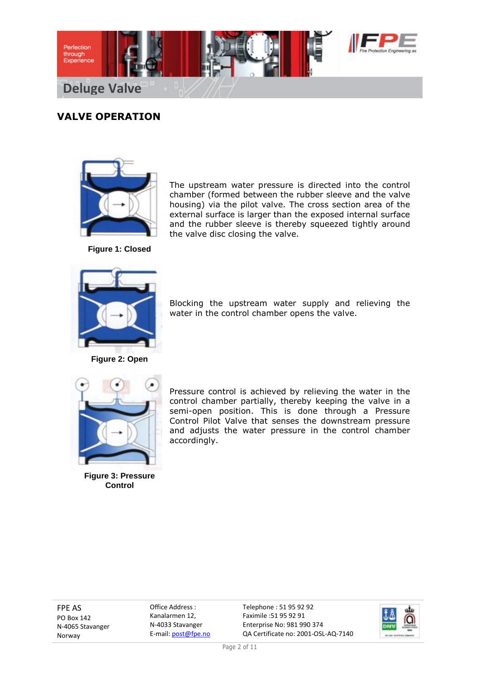

# **VALVE OPERATION**



The upstream water pressure is directed into the control chamber (formed between the rubber sleeve and the valve housing) via the pilot valve. The cross section area of the external surface is larger than the exposed internal surface and the rubber sleeve is thereby squeezed tightly around the valve disc closing the valve.

**Figure 1: Closed**



**Figure 2: Open**

Blocking the upstream water supply and relieving the water in the control chamber opens the valve.



**Figure 3: Pressure Control**

Pressure control is achieved by relieving the water in the control chamber partially, thereby keeping the valve in a semi-open position. This is done through a Pressure Control Pilot Valve that senses the downstream pressure and adjusts the water pressure in the control chamber accordingly.

FPE AS PO Box 142 N-4065 Stavanger Norway

Office Address : Kanalarmen 12, N-4033 Stavanger E-mail: post@fpe.no

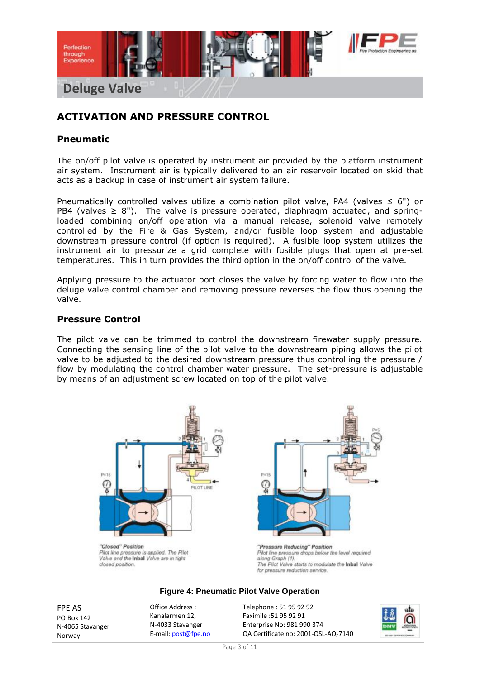

## **ACTIVATION AND PRESSURE CONTROL**

### **Pneumatic**

The on/off pilot valve is operated by instrument air provided by the platform instrument air system. Instrument air is typically delivered to an air reservoir located on skid that acts as a backup in case of instrument air system failure.

Pneumatically controlled valves utilize a combination pilot valve, PA4 (valves  $\leq 6"$ ) or PB4 (valves  $\geq$  8"). The valve is pressure operated, diaphragm actuated, and springloaded combining on/off operation via a manual release, solenoid valve remotely controlled by the Fire & Gas System, and/or fusible loop system and adjustable downstream pressure control (if option is required). A fusible loop system utilizes the instrument air to pressurize a grid complete with fusible plugs that open at pre-set temperatures. This in turn provides the third option in the on/off control of the valve.

Applying pressure to the actuator port closes the valve by forcing water to flow into the deluge valve control chamber and removing pressure reverses the flow thus opening the valve.

#### **Pressure Control**

The pilot valve can be trimmed to control the downstream firewater supply pressure. Connecting the sensing line of the pilot valve to the downstream piping allows the pilot valve to be adjusted to the desired downstream pressure thus controlling the pressure / flow by modulating the control chamber water pressure. The set-pressure is adjustable by means of an adjustment screw located on top of the pilot valve.



Pilot line pressure is applied. The Pilot Valve and the Inbal Valve are in tight closed position

"Pressure Reducing" Position Pilot line pressure drops below the level required along Graph (1). The Pilot Valve starts to modulate the Inbal Valve for pressure reduction service.

#### **Figure 4: Pneumatic Pilot Valve Operation**

FPE AS PO Box 142 N-4065 Stavanger Norway

Office Address : Kanalarmen 12, N-4033 Stavanger E-mail: post@fpe.no

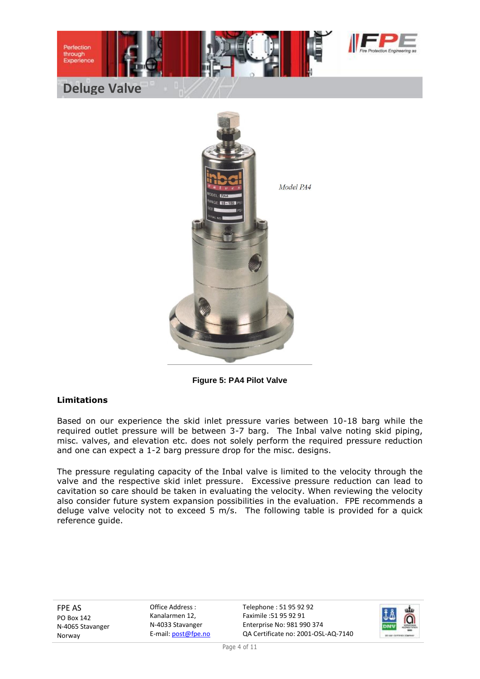

**Deluge Valve**

Perfection through<br>Experience



**Figure 5: PA4 Pilot Valve**

#### **Limitations**

Based on our experience the skid inlet pressure varies between 10-18 barg while the required outlet pressure will be between 3-7 barg. The Inbal valve noting skid piping, misc. valves, and elevation etc. does not solely perform the required pressure reduction and one can expect a 1-2 barg pressure drop for the misc. designs.

The pressure regulating capacity of the Inbal valve is limited to the velocity through the valve and the respective skid inlet pressure. Excessive pressure reduction can lead to cavitation so care should be taken in evaluating the velocity. When reviewing the velocity also consider future system expansion possibilities in the evaluation. FPE recommends a deluge valve velocity not to exceed 5 m/s. The following table is provided for a quick reference guide.

FPE AS PO Box 142 N-4065 Stavanger Norway

Office Address : Kanalarmen 12, N-4033 Stavanger E-mail: post@fpe.no

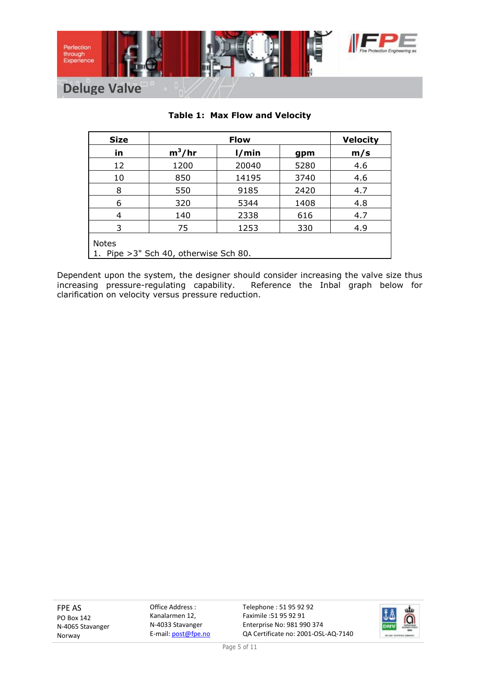

| <b>Size</b>  | <b>Flow</b>                            |       |      | <b>Velocity</b> |
|--------------|----------------------------------------|-------|------|-----------------|
| in           | $m^3/hr$                               | 1/min | gpm  | m/s             |
| 12           | 1200                                   | 20040 | 5280 | 4.6             |
| 10           | 850                                    | 14195 | 3740 | 4.6             |
| 8            | 550                                    | 9185  | 2420 | 4.7             |
| 6            | 320                                    | 5344  | 1408 | 4.8             |
| 4            | 140                                    | 2338  | 616  | 4.7             |
| 3            | 75                                     | 1253  | 330  | 4.9             |
| <b>Notes</b> | 1. Pipe > 3" Sch 40, otherwise Sch 80. |       |      |                 |

### **Table 1: Max Flow and Velocity**

Dependent upon the system, the designer should consider increasing the valve size thus increasing pressure-regulating capability. Reference the Inbal graph below for clarification on velocity versus pressure reduction.

FPE AS PO Box 142 N-4065 Stavanger Norway

Office Address : Kanalarmen 12, N-4033 Stavanger E-mail: post@fpe.no

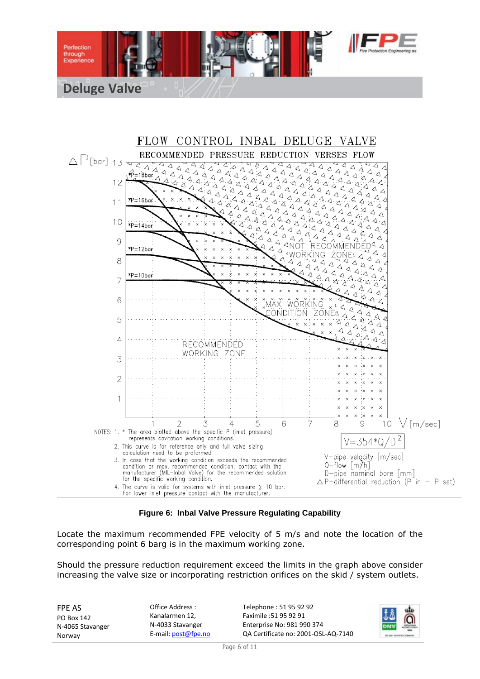



**Figure 6: Inbal Valve Pressure Regulating Capability**

Locate the maximum recommended FPE velocity of 5 m/s and note the location of the corresponding point 6 barg is in the maximum working zone.

Should the pressure reduction requirement exceed the limits in the graph above consider increasing the valve size or incorporating restriction orifices on the skid / system outlets.

| Office Address :<br><b>FPE AS</b><br>Kanalarmen 12.<br>PO Box 142<br>N-4033 Stavanger<br>N-4065 Stavanger<br>E-mail: post@fpe.no<br>Norway | Telephone: 51 95 92 92<br>Faximile :51 95 92 91<br>Enterprise No: 981 990 374<br>QA Certificate no: 2001-OSL-AQ-7140 | $\frac{1}{\overline{a}}$<br><b>JA</b><br>paru |
|--------------------------------------------------------------------------------------------------------------------------------------------|----------------------------------------------------------------------------------------------------------------------|-----------------------------------------------|
|--------------------------------------------------------------------------------------------------------------------------------------------|----------------------------------------------------------------------------------------------------------------------|-----------------------------------------------|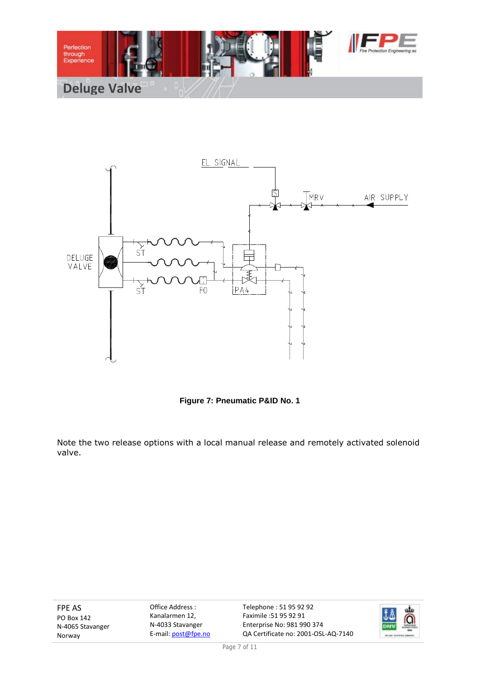



**Figure 7: Pneumatic P&ID No. 1**

Note the two release options with a local manual release and remotely activated solenoid valve.

FPE AS PO Box 142 N-4065 Stavanger Norway

Office Address : Kanalarmen 12, N-4033 Stavanger E-mail: post@fpe.no

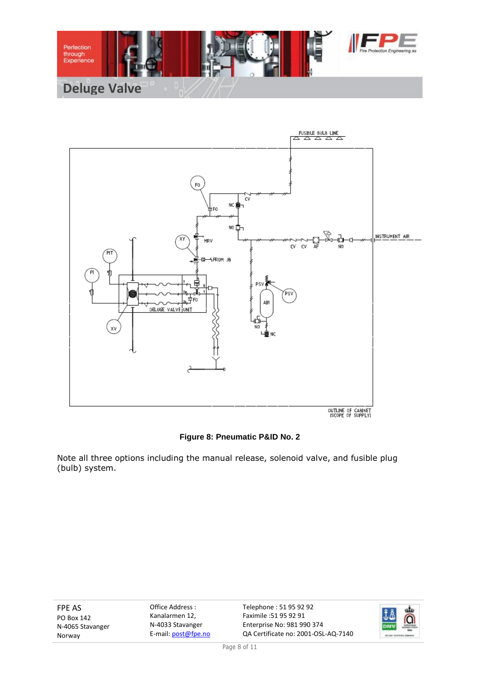



## **Figure 8: Pneumatic P&ID No. 2**

Note all three options including the manual release, solenoid valve, and fusible plug (bulb) system.

FPE AS PO Box 142 N-4065 Stavanger Norway

Office Address : Kanalarmen 12, N-4033 Stavanger E-mail: post@fpe.no

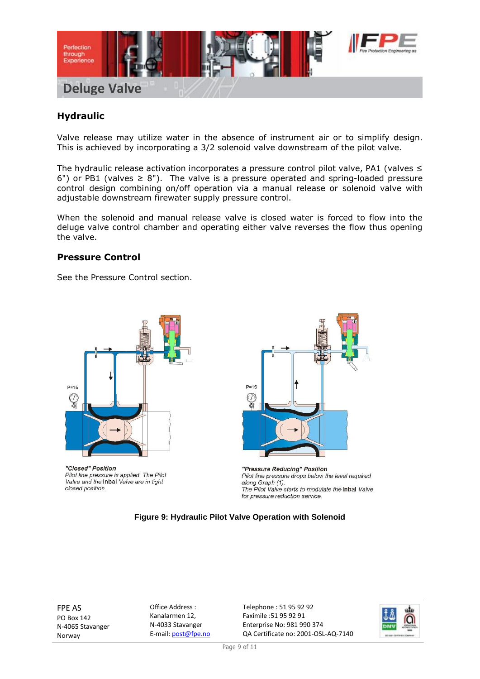

## **Hydraulic**

Valve release may utilize water in the absence of instrument air or to simplify design. This is achieved by incorporating a 3/2 solenoid valve downstream of the pilot valve.

The hydraulic release activation incorporates a pressure control pilot valve, PA1 (valves ≤ 6") or PB1 (valves  $\geq$  8"). The valve is a pressure operated and spring-loaded pressure control design combining on/off operation via a manual release or solenoid valve with adjustable downstream firewater supply pressure control.

When the solenoid and manual release valve is closed water is forced to flow into the deluge valve control chamber and operating either valve reverses the flow thus opening the valve.

### **Pressure Control**

See the Pressure Control section.



"Closed" Position Pilot line pressure is applied. The Pilot Valve and the Inbal Valve are in tight closed position.



"Pressure Reducing" Position Pilot line pressure drops below the level required along Graph (1). The Pilot Valve starts to modulate the Inbal Valve for pressure reduction service.

#### **Figure 9: Hydraulic Pilot Valve Operation with Solenoid**

FPE AS PO Box 142 N-4065 Stavanger Norway

Office Address : Kanalarmen 12, N-4033 Stavanger E-mail: post@fpe.no

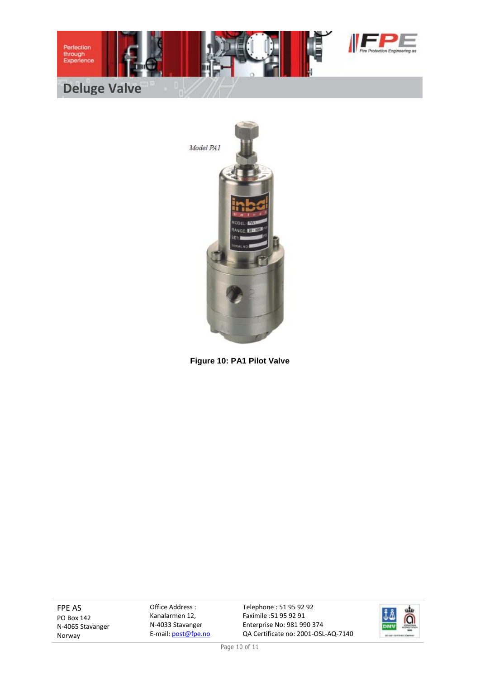



**Figure 10: PA1 Pilot Valve**

FPE AS PO Box 142 N-4065 Stavanger Norway

Office Address : Kanalarmen 12, N-4033 Stavanger E-mail: post@fpe.no